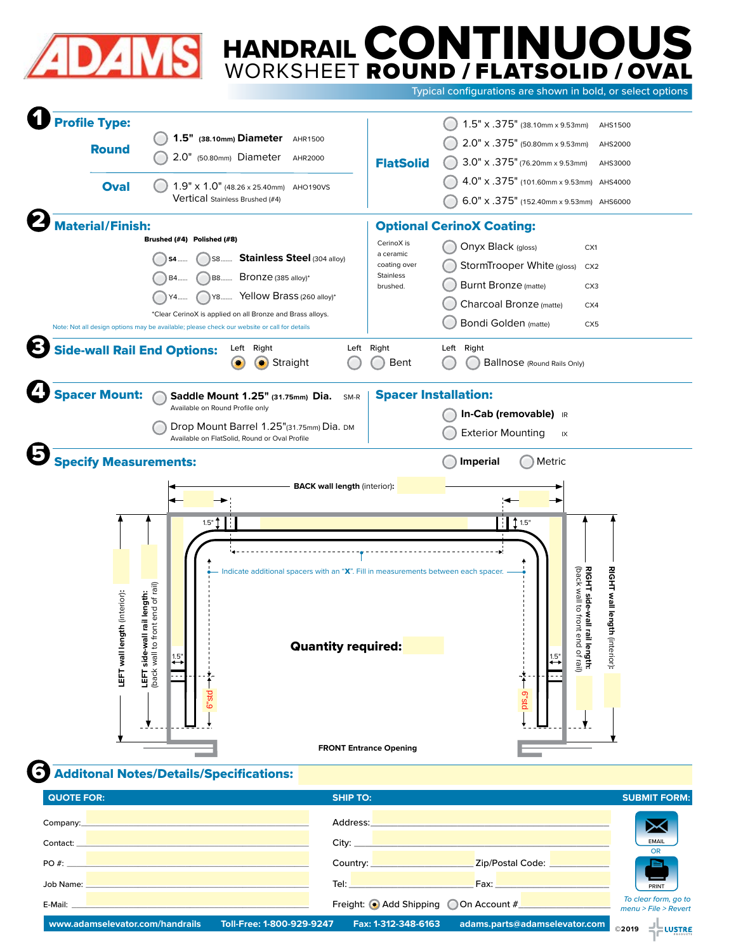

# CONTINUOUS ROUND / FLATSOLID / OVAL HANDRAIL WORKSHEET

Typical configurations are shown in bold, or select options

| <b>Profile Type:</b><br><b>Round</b>                         | 1.5" (38.10mm) Diameter AHR1500<br>2.0" (50.80mm) Diameter<br>AHR2000                                                                                                                                                                                                                                                                        | <b>FlatSolid</b>                                                                  | $1.5" \times .375"$ (38.10mm x 9.53mm)<br>AHS1500<br>2.0" x .375" (50.80mm x 9.53mm)<br>AHS2000<br>$3.0" \times .375"$ (76.20mm x 9.53mm)<br>AHS3000                                                                                                                                  |
|--------------------------------------------------------------|----------------------------------------------------------------------------------------------------------------------------------------------------------------------------------------------------------------------------------------------------------------------------------------------------------------------------------------------|-----------------------------------------------------------------------------------|---------------------------------------------------------------------------------------------------------------------------------------------------------------------------------------------------------------------------------------------------------------------------------------|
| <b>Oval</b>                                                  | $1.9" \times 1.0"$ (48.26 x 25.40mm)<br>AHO190VS<br><b>Vertical Stainless Brushed (#4)</b>                                                                                                                                                                                                                                                   |                                                                                   | 4.0" x .375" (101.60mm x 9.53mm) AHS4000<br>6.0" x .375" (152.40mm x 9.53mm) AHS6000                                                                                                                                                                                                  |
| Material/Finish:<br><b>Side-wall Rail End Options:</b>       | Brushed (#4) Polished (#8)<br>S8 Stainless Steel (304 alloy)<br>S4<br>B8 Bronze (385 alloy)*<br>R <sub>4</sub><br>Y8 Yellow Brass (260 alloy)*<br>*Clear CerinoX is applied on all Bronze and Brass alloys.<br>Note: Not all design options may be available; please check our website or call for details<br>Left Right<br>Left<br>Straight | CerinoX is<br>a ceramic<br>coating over<br>Stainless<br>brushed.<br>Right<br>Bent | <b>Optional CerinoX Coating:</b><br>Onyx Black (gloss)<br>CX1<br>StormTrooper White (gloss)<br>CX <sub>2</sub><br><b>Burnt Bronze</b> (matte)<br>CX3<br>Charcoal Bronze (matte)<br>CX4<br><b>Bondi Golden</b> (matte)<br>CX <sub>5</sub><br>Left Right<br>Ballnose (Round Rails Only) |
| <b>Spacer Mount:</b>                                         | Saddle Mount 1.25" (31.75mm) Dia.<br>SM-R<br>Available on Round Profile only<br>Drop Mount Barrel 1.25"(31.75mm) Dia. DM<br>Available on FlatSolid, Round or Oval Profile                                                                                                                                                                    | <b>Spacer Installation:</b>                                                       | In-Cab (removable) IR<br><b>Exterior Mounting</b><br>IX                                                                                                                                                                                                                               |
| <b>Specify Measurements:</b><br>LEFT wall length (interior): | <b>BACK wall length (interior):</b><br>1.5"<br>Indicate additional spacers with an "X". Fill in measurements between each spacer.<br>rall rail length:<br>of front end of rail)<br><b>Quantity required:</b><br>LEFT side-wa<br>$\overline{1.5}$ "                                                                                           |                                                                                   | <b>Imperial</b><br>Metric<br>$\uparrow$ 1.5"<br><b>RIGHT side-wall rail</b><br>(back wall to front en<br>RIGHT wall length (interior):<br>length:<br>Id of rail)<br>$\stackrel{1.5}{\leftrightarrow}$                                                                                 |
|                                                              | 6"std                                                                                                                                                                                                                                                                                                                                        | <b>FRONT Entrance Opening</b>                                                     | p <sub>"Std</sub>                                                                                                                                                                                                                                                                     |

# Additonal Notes/Details/Specifications: 6

| <b>QUOTE FOR:</b>                                                                           | <b>SHIP TO:</b>                                                                                                                                                                            |                                                                                                                                                                                                                                | <b>SUBMIT FORM:</b>                                     |
|---------------------------------------------------------------------------------------------|--------------------------------------------------------------------------------------------------------------------------------------------------------------------------------------------|--------------------------------------------------------------------------------------------------------------------------------------------------------------------------------------------------------------------------------|---------------------------------------------------------|
| Company: Department of the Company: Department of the Company:<br>Contact:                  | Address:<br>City: <b>City: City: City: City: City: City: City: City: City: City: City: City: City: City: City: City: City: City: City: City: City: City: City: City: City: City: City:</b> |                                                                                                                                                                                                                                | ▶≺<br><b>EMAIL</b>                                      |
| ,我们也不会有什么?""我们的人,我们也不会有什么?""我们的人,我们也不会有什么?""我们的人,我们也不会有什么?""我们的人,我们也不会有什么?""我们的人<br>$PO#$ : | Country: <b>Exercise Service Service Service</b>                                                                                                                                           | _Zip/Postal Code: _________                                                                                                                                                                                                    | OR<br>$\blacksquare$                                    |
| Job Name:<br>E-Mail:                                                                        | Tel: <b>The Community of the Community</b><br>Freight: Add Shipping OOn Account #                                                                                                          | Fax: Experience of the state of the state of the state of the state of the state of the state of the state of the state of the state of the state of the state of the state of the state of the state of the state of the stat | PRINT<br>To clear form, go to<br>$menu$ > File > Revert |
| www.adamselevator.com/handrails                                                             | Toll-Free: 1-800-929-9247<br>Fax: 1-312-348-6163                                                                                                                                           | adams.parts@adamselevator.com                                                                                                                                                                                                  | <b>LUSTRE</b><br>©2019                                  |